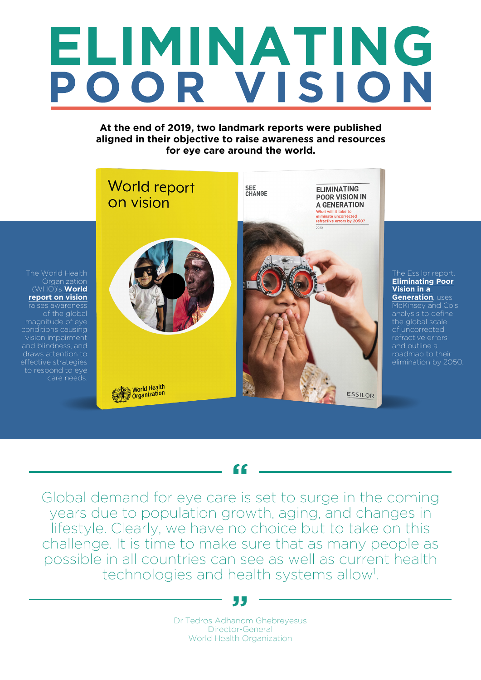# ELIMINATING POOR VISION

# **At the end of 2019, two landmark reports were published aligned in their objective to raise awareness and resources for eye care around the world.**



The Essilor report, **[Eliminating Poor](https://www.essilorseechange.com/elimination-in-a-generation/) [Vision in a](https://www.essilorseechange.com/elimination-in-a-generation/)  [Generation](https://www.essilorseechange.com/elimination-in-a-generation/)**, uses McKinsey and Co's the global scale refractive errors roadmap to their elimination by 2050.

Global demand for eye care is set to surge in the coming years due to population growth, aging, and changes in lifestyle. Clearly, we have no choice but to take on this challenge. It is time to make sure that as many people as possible in all countries can see as well as current health technologies and health systems allow<sup>1</sup>. .

**"**

## **"**